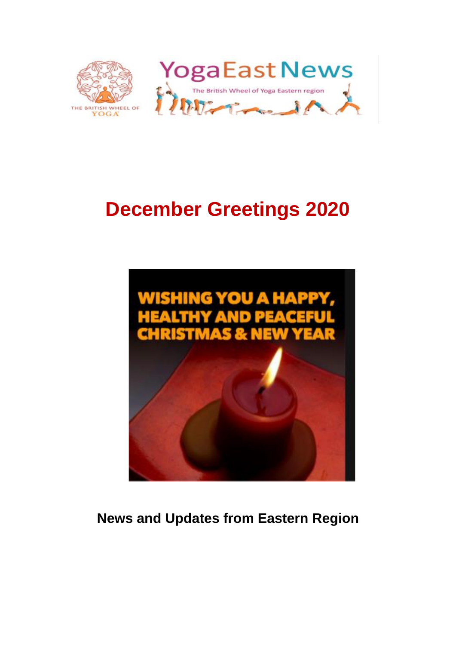

# **December Greetings 2020**



**News and Updates from Eastern Region**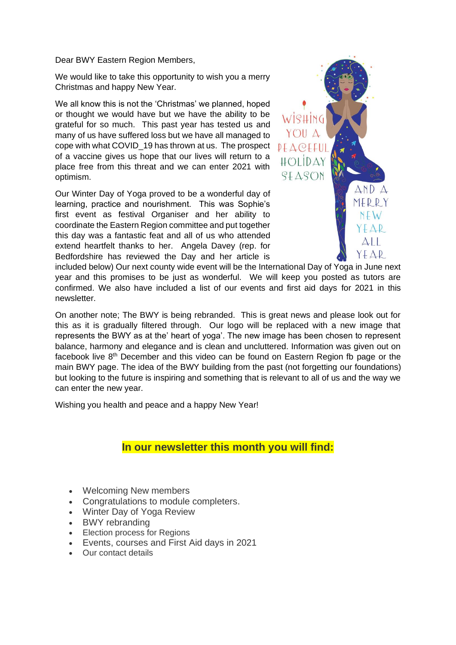Dear BWY Eastern Region Members,

We would like to take this opportunity to wish you a merry Christmas and happy New Year.

We all know this is not the 'Christmas' we planned, hoped or thought we would have but we have the ability to be grateful for so much. This past year has tested us and many of us have suffered loss but we have all managed to cope with what COVID\_19 has thrown at us. The prospect of a vaccine gives us hope that our lives will return to a place free from this threat and we can enter 2021 with optimism.

Our Winter Day of Yoga proved to be a wonderful day of learning, practice and nourishment. This was Sophie's first event as festival Organiser and her ability to coordinate the Eastern Region committee and put together this day was a fantastic feat and all of us who attended extend heartfelt thanks to her. Angela Davey (rep. for Bedfordshire has reviewed the Day and her article is



included below) Our next county wide event will be the International Day of Yoga in June next year and this promises to be just as wonderful. We will keep you posted as tutors are confirmed. We also have included a list of our events and first aid days for 2021 in this newsletter.

On another note; The BWY is being rebranded. This is great news and please look out for this as it is gradually filtered through. Our logo will be replaced with a new image that represents the BWY as at the' heart of yoga'. The new image has been chosen to represent balance, harmony and elegance and is clean and uncluttered. Information was given out on facebook live  $8<sup>th</sup>$  December and this video can be found on Eastern Region fb page or the main BWY page. The idea of the BWY building from the past (not forgetting our foundations) but looking to the future is inspiring and something that is relevant to all of us and the way we can enter the new year.

Wishing you health and peace and a happy New Year!

## **In our newsletter this month you will find:**

- Welcoming New members
- Congratulations to module completers.
- Winter Day of Yoga Review
- BWY rebranding
- Election process for Regions
- Events, courses and First Aid days in 2021
- Our contact details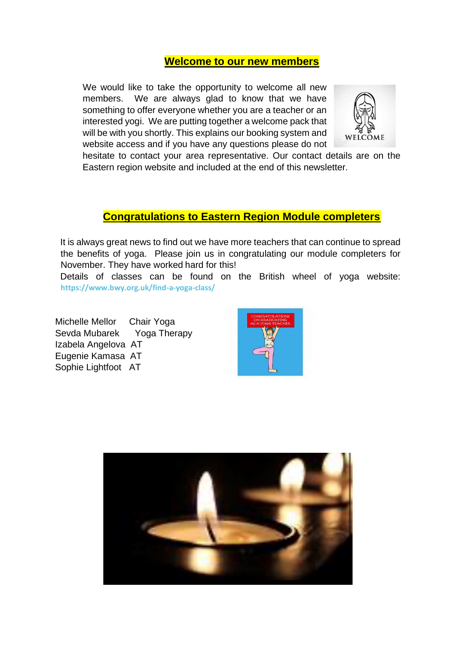## **Welcome to our new members**

We would like to take the opportunity to welcome all new members. We are always glad to know that we have something to offer everyone whether you are a teacher or an interested yogi. We are putting together a welcome pack that will be with you shortly. This explains our booking system and website access and if you have any questions please do not



hesitate to contact your area representative. Our contact details are on the Eastern region website and included at the end of this newsletter.

## **Congratulations to Eastern Region Module completers**

 It is always great news to find out we have more teachers that can continue to spread the benefits of yoga. Please join us in congratulating our module completers for November. They have worked hard for this!

 Details of classes can be found on the British wheel of yoga website: **<https://www.bwy.org.uk/find-a-yoga-class/>**

Michelle Mellor Chair Yoga Sevda Mubarek Yoga Therapy Izabela Angelova AT Eugenie Kamasa AT Sophie Lightfoot AT



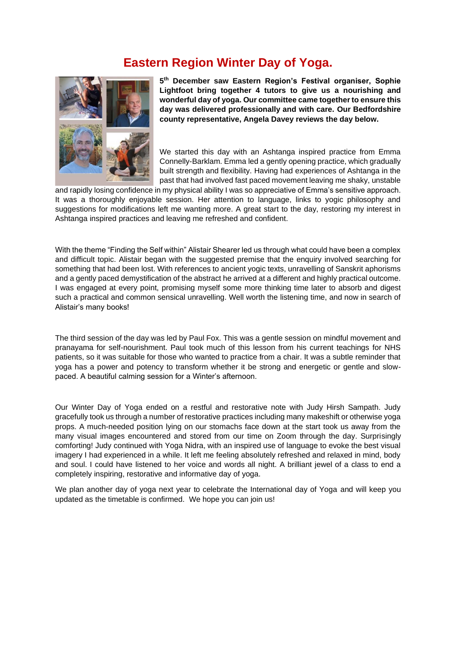# **Eastern Region Winter Day of Yoga.**



**5 th December saw Eastern Region's Festival organiser, Sophie Lightfoot bring together 4 tutors to give us a nourishing and wonderful day of yoga. Our committee came together to ensure this day was delivered professionally and with care. Our Bedfordshire county representative, Angela Davey reviews the day below.**

We started this day with an Ashtanga inspired practice from Emma Connelly-Barklam. Emma led a gently opening practice, which gradually built strength and flexibility. Having had experiences of Ashtanga in the past that had involved fast paced movement leaving me shaky, unstable

and rapidly losing confidence in my physical ability I was so appreciative of Emma's sensitive approach. It was a thoroughly enjoyable session. Her attention to language, links to yogic philosophy and suggestions for modifications left me wanting more. A great start to the day, restoring my interest in Ashtanga inspired practices and leaving me refreshed and confident.

With the theme "Finding the Self within" Alistair Shearer led us through what could have been a complex and difficult topic. Alistair began with the suggested premise that the enquiry involved searching for something that had been lost. With references to ancient yogic texts, unravelling of Sanskrit aphorisms and a gently paced demystification of the abstract he arrived at a different and highly practical outcome. I was engaged at every point, promising myself some more thinking time later to absorb and digest such a practical and common sensical unravelling. Well worth the listening time, and now in search of Alistair's many books!

The third session of the day was led by Paul Fox. This was a gentle session on mindful movement and pranayama for self-nourishment. Paul took much of this lesson from his current teachings for NHS patients, so it was suitable for those who wanted to practice from a chair. It was a subtle reminder that yoga has a power and potency to transform whether it be strong and energetic or gentle and slowpaced. A beautiful calming session for a Winter's afternoon.

Our Winter Day of Yoga ended on a restful and restorative note with Judy Hirsh Sampath. Judy gracefully took us through a number of restorative practices including many makeshift or otherwise yoga props. A much-needed position lying on our stomachs face down at the start took us away from the many visual images encountered and stored from our time on Zoom through the day. Surprisingly comforting! Judy continued with Yoga Nidra, with an inspired use of language to evoke the best visual imagery I had experienced in a while. It left me feeling absolutely refreshed and relaxed in mind, body and soul. I could have listened to her voice and words all night. A brilliant jewel of a class to end a completely inspiring, restorative and informative day of yoga.

We plan another day of yoga next year to celebrate the International day of Yoga and will keep you updated as the timetable is confirmed. We hope you can join us!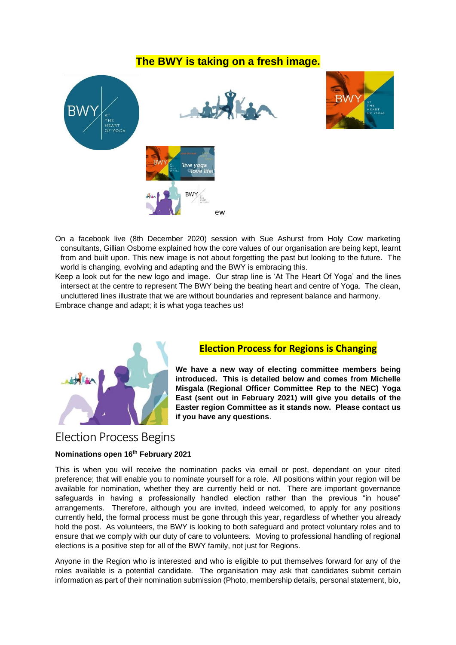## **The BWY is taking on a fresh image.**



On a facebook live (8th December 2020) session with Sue Ashurst from Holy Cow marketing consultants, Gillian Osborne explained how the core values of our organisation are being kept, learnt from and built upon. This new image is not about forgetting the past but looking to the future. The world is changing, evolving and adapting and the BWY is embracing this.

Keep a look out for the new logo and image. Our strap line is 'At The Heart Of Yoga' and the lines intersect at the centre to represent The BWY being the beating heart and centre of Yoga. The clean, uncluttered lines illustrate that we are without boundaries and represent balance and harmony. Embrace change and adapt; it is what yoga teaches us!



### **Election Process for Regions is Changing**

**We have a new way of electing committee members being introduced. This is detailed below and comes from Michelle Misgala (Regional Officer Committee Rep to the NEC) Yoga East (sent out in February 2021) will give you details of the Easter region Committee as it stands now. Please contact us if you have any questions**.

# Election Process Begins

#### **Nominations open 16th February 2021**

This is when you will receive the nomination packs via email or post, dependant on your cited preference; that will enable you to nominate yourself for a role. All positions within your region will be available for nomination, whether they are currently held or not. There are important governance safeguards in having a professionally handled election rather than the previous "in house" arrangements. Therefore, although you are invited, indeed welcomed, to apply for any positions currently held, the formal process must be gone through this year, regardless of whether you already hold the post. As volunteers, the BWY is looking to both safeguard and protect voluntary roles and to ensure that we comply with our duty of care to volunteers. Moving to professional handling of regional elections is a positive step for all of the BWY family, not just for Regions.

Anyone in the Region who is interested and who is eligible to put themselves forward for any of the roles available is a potential candidate. The organisation may ask that candidates submit certain information as part of their nomination submission (Photo, membership details, personal statement, bio,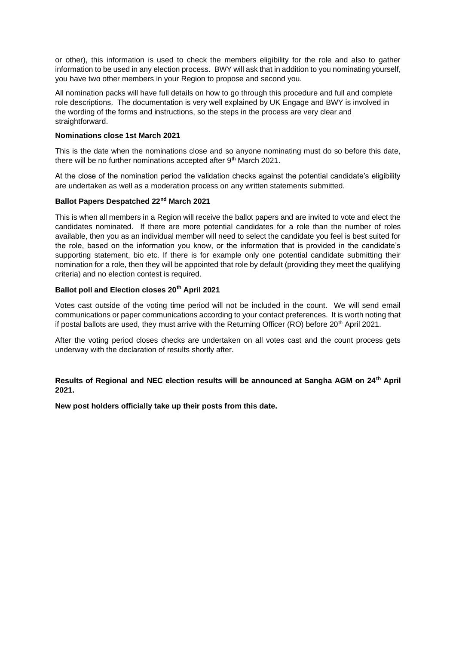or other), this information is used to check the members eligibility for the role and also to gather information to be used in any election process. BWY will ask that in addition to you nominating yourself, you have two other members in your Region to propose and second you.

All nomination packs will have full details on how to go through this procedure and full and complete role descriptions. The documentation is very well explained by UK Engage and BWY is involved in the wording of the forms and instructions, so the steps in the process are very clear and straightforward.

#### **Nominations close 1st March 2021**

This is the date when the nominations close and so anyone nominating must do so before this date, there will be no further nominations accepted after  $9<sup>th</sup>$  March 2021.

At the close of the nomination period the validation checks against the potential candidate's eligibility are undertaken as well as a moderation process on any written statements submitted.

#### **Ballot Papers Despatched 22nd March 2021**

This is when all members in a Region will receive the ballot papers and are invited to vote and elect the candidates nominated. If there are more potential candidates for a role than the number of roles available, then you as an individual member will need to select the candidate you feel is best suited for the role, based on the information you know, or the information that is provided in the candidate's supporting statement, bio etc. If there is for example only one potential candidate submitting their nomination for a role, then they will be appointed that role by default (providing they meet the qualifying criteria) and no election contest is required.

#### **Ballot poll and Election closes 20th April 2021**

Votes cast outside of the voting time period will not be included in the count. We will send email communications or paper communications according to your contact preferences. It is worth noting that if postal ballots are used, they must arrive with the Returning Officer (RO) before  $20<sup>th</sup>$  April 2021.

After the voting period closes checks are undertaken on all votes cast and the count process gets underway with the declaration of results shortly after.

#### **Results of Regional and NEC election results will be announced at Sangha AGM on 24th April 2021.**

**New post holders officially take up their posts from this date.**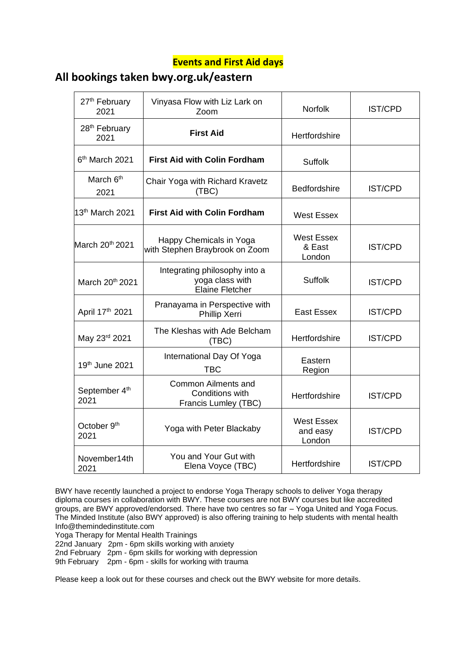## **Events and First Aid days**

## **All bookings taken bwy.org.uk/eastern**

| 27 <sup>th</sup> February<br>2021 | Vinyasa Flow with Liz Lark on<br>Zoom                                      | <b>Norfolk</b>                          | <b>IST/CPD</b> |
|-----------------------------------|----------------------------------------------------------------------------|-----------------------------------------|----------------|
| 28 <sup>th</sup> February<br>2021 | <b>First Aid</b>                                                           | Hertfordshire                           |                |
| 6 <sup>th</sup> March 2021        | <b>First Aid with Colin Fordham</b>                                        | <b>Suffolk</b>                          |                |
| March 6 <sup>th</sup><br>2021     | Chair Yoga with Richard Kravetz<br>(TBC)                                   | <b>Bedfordshire</b>                     | <b>IST/CPD</b> |
| 13 <sup>th</sup> March 2021       | <b>First Aid with Colin Fordham</b>                                        | <b>West Essex</b>                       |                |
| March 20 <sup>th</sup> 2021       | Happy Chemicals in Yoga<br>with Stephen Braybrook on Zoom                  | <b>West Essex</b><br>& East<br>London   | <b>IST/CPD</b> |
| March 20th 2021                   | Integrating philosophy into a<br>yoga class with<br><b>Elaine Fletcher</b> | <b>Suffolk</b>                          | <b>IST/CPD</b> |
| April 17th 2021                   | Pranayama in Perspective with<br>Phillip Xerri                             | <b>East Essex</b>                       | <b>IST/CPD</b> |
| May 23rd 2021                     | The Kleshas with Ade Belcham<br>(TBC)                                      | Hertfordshire                           | <b>IST/CPD</b> |
| 19th June 2021                    | International Day Of Yoga<br><b>TBC</b>                                    | Eastern<br>Region                       |                |
| September 4th<br>2021             | <b>Common Ailments and</b><br>Conditions with<br>Francis Lumley (TBC)      | Hertfordshire                           | <b>IST/CPD</b> |
| October 9 <sup>th</sup><br>2021   | Yoga with Peter Blackaby                                                   | <b>West Essex</b><br>and easy<br>London | <b>IST/CPD</b> |
| November14th<br>2021              | You and Your Gut with<br>Elena Voyce (TBC)                                 | Hertfordshire                           | <b>IST/CPD</b> |

BWY have recently launched a project to endorse Yoga Therapy schools to deliver Yoga therapy diploma courses in collaboration with BWY. These courses are not BWY courses but like accredited groups, are BWY approved/endorsed. There have two centres so far – Yoga United and Yoga Focus. The Minded Institute (also BWY approved) is also offering training to help students with mental health Info@themindedinstitute.com

Yoga Therapy for Mental Health Trainings

22nd January 2pm - 6pm skills working with anxiety

2nd February 2pm - 6pm skills for working with depression

9th February 2pm - 6pm - skills for working with trauma

Please keep a look out for these courses and check out the BWY website for more details.